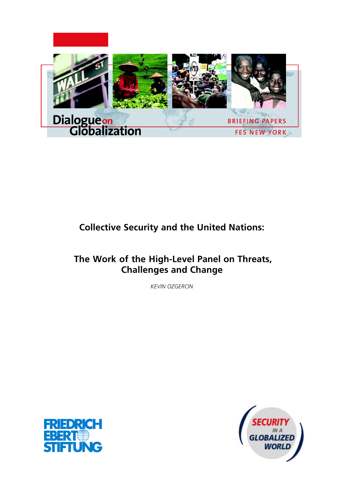

# **Collective Security and the United Nations:**

# **The Work of the High-Level Panel on Threats, Challenges and Change**

*KEVIN OZGERCIN*



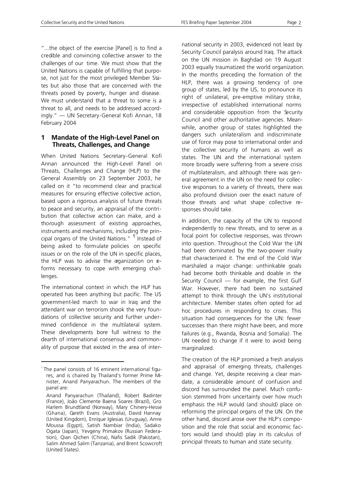"...the object of the exercise [Panel] is to find a credible and convincing collective answer to the challenges of our time. We must show that the United Nations is capable of fulfilling that purpose, not just for the most privileged Member States but also those that are concerned with the threats posed by poverty, hunger and disease. We must understand that a threat to some is a threat to all, and needs to be addressed accordingly." — UN Secretary-General Kofi Annan, 18 February 2004

## **1 Mandate of the High-Level Panel on Threats, Challenges, and Change**

When United Nations Secretary-General Kofi Annan announced the High-Level Panel on Threats, Challenges and Change (HLP) to the General Assembly on 23 September 2003, he called on it "to recommend clear and practical measures for ensuring effective collective action, based upon a rigorous analysis of future threats to peace and security, an appraisal of the contribution that collective action can make, and a thorough assessment of existing approaches, instruments and mechanisms, including the principal organs of the United Nations." <sup>1</sup> Instead of being asked to formulate policies on specific issues or on the role of the UN in specific places, the HLP was to advise the organization on eforms necessary to cope with emerging challenges.

The international context in which the HLP has operated has been anything but pacific. The US government-led march to war in Iraq and the attendant war on terrorism shook the very foundations of collective security and further undermined confidence in the multilateral system. These developments bore full witness to the dearth of international consensus and commonality of purpose that existed in the area of inter-

l

national security in 2003, evidenced not least by Security Council paralysis around Iraq. The attack on the UN mission in Baghdad on 19 August 2003 equally traumatized the world organization. In the months preceding the formation of the HLP, there was a growing tendency of one group of states, led by the US, to pronounce its right of unilateral, pre-emptive military strike, irrespective of established international norms and considerable opposition from the Security Council and other authoritative agencies. Meanwhile, another group of states highlighted the dangers such unilateralism and indiscriminate use of force may pose to international order and the collective security of humans as well as states. The UN and the international system more broadly were suffering from a severe crisis of multilateralism, and although there was general agreement in the UN on the need for collective responses to a variety of threats, there was also profound division over the exact nature of those threats and what shape collective responses should take.

In addition, the capacity of the UN to respond independently to new threats, and to serve as a focal point for collective responses, was thrown into question. Throughout the Cold War the UN had been dominated by the two-power rivalry that characterized it. The end of the Cold War marshaled a major change: unthinkable goals had become both thinkable and doable in the Security Council — for example, the first Gulf War. However, there had been no sustained attempt to think through the UN's institutional architecture. Member states often opted for ad hoc procedures in responding to crises. This situation had consequences for the UN: fewer successes than there might have been, and more failures (e.g., Rwanda, Bosnia and Somalia). The UN needed to change if it were to avoid being marginalized.

The creation of the HLP promised a fresh analysis and appraisal of emerging threats, challenges and change. Yet, despite receiving a clear mandate, a considerable amount of confusion and discord has surrounded the panel. Much confusion stemmed from uncertainty over how much emphasis the HLP would (and should) place on reforming the principal organs of the UN. On the other hand, discord arose over the HLP's composition and the role that social and economic factors would (and should) play in its calculus of principal threats to human and state security.

<sup>&</sup>lt;sup>1</sup> The panel consists of 16 eminent international figures, and is chaired by Thailand's former Prime Minister, Anand Panyarachun. The members of the panel are:

Anand Panyarachun (Thailand), Robert Badinter (France), João Clemente Baena Soares (Brazil), Gro Harlem Brundtland (Norway), Mary Chinery-Hesse (Ghana), Gareth Evans (Australia), David Hannay (United Kingdom), Enrique Iglesias (Uruguay), Amre Moussa (Egypt), Satish Nambiar (India), Sadako Ogata (Japan), Yevgeny Primakov (Russian Federation), Qian Qichen (China), Nafis Sadik (Pakistan), Salim Ahmed Salim (Tanzania), and Brent Scowcroft (United States).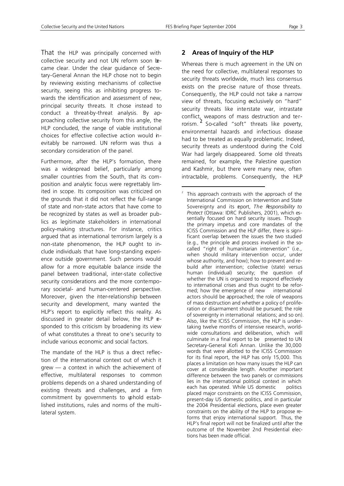l

That the HLP was principally concerned with collective security and not UN reform soon became clear. Under the clear guidance of Secretary-General Annan the HLP chose not to begin by reviewing existing mechanisms of collective security, seeing this as inhibiting progress towards the identification and assessment of new, principal security threats. It chose instead to conduct a threat-by-threat analysis. By approaching collective security from this angle, the HLP concluded, the range of viable institutional choices for effective collective action would inevitably be narrowed. UN reform was thus a secondary consideration of the panel.

Furthermore, after the HLP's formation, there was a widespread belief, particularly among smaller countries from the South, that its composition and analytic focus were regrettably limited in scope. Its composition was criticized on the grounds that it did not reflect the full-range of state and non-state actors that have come to be recognized by states as well as broader publics as legitimate stakeholders in international policy-making structures. For instance, critics argued that as international terrorism largely is a non-state phenomenon, the HLP ought to include individuals that have long-standing experience outside government. Such persons would allow for a more equitable balance inside the panel between traditional, inter-state collective security considerations and the more contemporary societal- and human-centered perspective. Moreover, given the inter-relationship between security and development, many wanted the HLP's report to explicitly reflect this reality. As discussed in greater detail below, the HLP esponded to this criticism by broadening its view of what constitutes a threat to one's security to include various economic and social factors.

The mandate of the HLP is thus a drect reflection of the international context out of which it grew — a context in which the achievement of effective, multilateral responses to common problems depends on a shared understanding of existing threats and challenges, and a firm commitment by governments to uphold established institutions, rules and norms of the multilateral system.

# **2 Areas of Inquiry of the HLP**

Whereas there is much agreement in the UN on the need for collective, multilateral responses to security threats worldwide, much less consensus exists on the precise nature of those threats. Consequently, the HLP could not take a narrow view of threats, focusing exclusively on "hard" security threats like interstate war, intrastate conflict, weapons of mass destruction and terrorism. <sup>2</sup> So-called "soft" threats like poverty, environmental hazards and infectious disease had to be treated as equally problematic. Indeed, security threats as understood during the Cold War had largely disappeared. Some old threats remained, for example, the Palestine question and Kashmir, but there were many new, often intractable, problems. Consequently, the HLP

<sup>2</sup> This approach contrasts with the approach of the International Commission on Intervention and State Sovereignty and its eport, *The Responsibility to Protect* (Ottawa: IDRC Publishers, 2001), which essentially focused on hard security issues. Though the primary impetus and core mandates of the ICISS Commission and the HLP differ, there is significant overlap between the issues the two studied (e.g., the principle and process involved in the socalled "right of humanitarian intervention" (i.e., when should military intervention occur, under whose authority, and how); how to prevent and rebuild after intervention; collective (state) versus human (individual) security; the question of whether the UN is organized to respond effectively to international crises and thus ought to be reformed; how the emergence of new international actors should be approached; the role of weapons of mass destruction and whether a policy of proliferation or disarmament should be pursued; the role of sovereignty in international relations; and so on). Also, like the ICISS Commission, the HLP is undertaking twelve months of intensive research, worldwide consultations and deliberation, which will culminate in a final report to be presented to UN Secretary-General Kofi Annan. Unlike the 30,000 words that were allotted to the ICISS Commission for its final report, the HLP has only 15,000. This places a limitation on how many issues the HLP can cover at considerable length. Another important difference between the two panels or commissions lies in the international political context in which each has operated. While US domestic politics placed major constraints on the ICISS Commission, present-day US domestic politics, and in particular the 2004 Presidential elections, place even greater constraints on the ability of the HLP to propose reforms that enjoy international support. Thus, the HLP's final report will not be finalized until after the outcome of the November 2nd Presidential elections has been made official.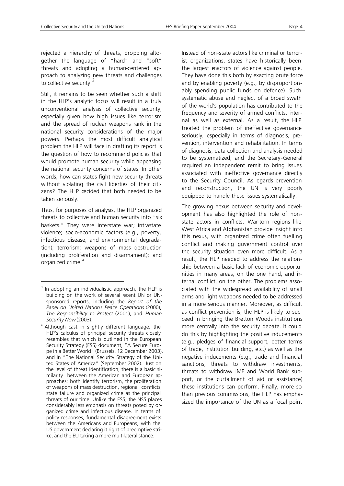rejected a hierarchy of threats, dropping altogether the language of "hard" and "soft" threats and adopting a human-centered approach to analyzing new threats and challenges to collective security.<sup>3</sup>

Still, it remains to be seen whether such a shift in the HLP's analytic focus will result in a truly unconventional analysis of collective security, especially given how high issues like terrorism and the spread of nuclear weapons rank in the national security considerations of the major powers. Perhaps the most difficult analytical problem the HLP will face in drafting its report is the question of how to recommend policies that would promote human security while appeasing the national security concerns of states. In other words, how can states fight new security threats without violating the civil liberties of their citizens? The HLP decided that both needed to be taken seriously.

Thus, for purposes of analysis, the HLP organized threats to collective and human security into "six baskets." They were interstate war; intrastate violence; socio-economic factors (e.g., poverty, infectious disease, and environmental degradation); terrorism; weapons of mass destruction (including proliferation and disarmament); and organized crime. <sup>4</sup>

l

Instead of non-state actors like criminal or terrorist organizations, states have historically been the largest enactors of violence against people. They have done this both by exacting brute force and by enabling poverty (e.g., by disproportionably spending public funds on defence). Such systematic abuse and neglect of a broad swath of the world's population has contributed to the frequency and severity of armed conflicts, internal as well as external. As a result, the HLP treated the problem of ineffective governance seriously, especially in terms of diagnosis, prevention, intervention and rehabilitation. In terms of diagnosis, data collection and analysis needed to be systematized, and the Secretary-General required an independent remit to bring issues associated with ineffective governance directly to the Security Council. As egards prevention and reconstruction, the UN is very poorly equipped to handle these issues systematically.

The growing nexus between security and development has also highlighted the role of nonstate actors in conflicts. War-torn regions like West Africa and Afghanistan provide insight into this nexus, with organized crime often fuelling conflict and making government control over the security situation even more difficult. As a result, the HLP needed to address the relationship between a basic lack of economic opportunities in many areas, on the one hand, and internal conflict, on the other. The problems associated with the widespread availability of small arms and light weapons needed to be addressed in a more serious manner. Moreover, as difficult as conflict prevention is, the HLP is likely to succeed in bringing the Bretton Woods institutions more centrally into the security debate. It could do this by highlighting the positive inducements (e.g., pledges of financial support, better terms of trade, institution building, etc.) as well as the negative inducements (e.g., trade and financial sanctions, threats to withdraw investments, threats to withdraw IMF and World Bank support, or the curtailment of aid or assistance) these institutions can perform. Finally, more so than previous commissions, the HLP has emphasized the importance of the UN as a focal point

<sup>3</sup> In adopting an individualistic approach, the HLP is building on the work of several recent UN or UNsponsored reports, including the *Report of the Panel on United Nations Peace Operations* (2000), *The Responsibility to Protect* (2001), and *Human Security Now* (2003).

<sup>4</sup> Although cast in slightly different language, the HLP's calculus of principal security threats closely resembles that which is outlined in the European Security Strategy (ESS) document, "A Secure Europe in a Better World" (Brussels, 12 December 2003), and in "The National Security Strategy of the United States of America" (September 2002). Just on the level of threat identification, there is a basic similarity between the American and European approaches: both identify terrorism, the proliferation of weapons of mass destruction, regional conflicts, state failure and organized crime as the principal threats of our time. Unlike the ESS, the NSS places considerably less emphasis on threats posed by organized crime and infectious disease. In terms of policy responses, fundamental disagreement exists between the Americans and Europeans, with the US government declaring it right of preemptive strike, and the EU taking a more multilateral stance.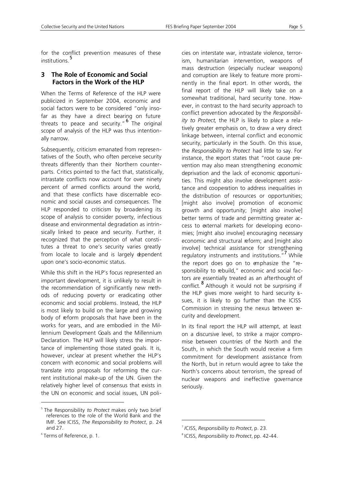for the conflict prevention measures of these institutions.<sup>5</sup>

## **3 The Role of Economic and Social Factors in the Work of the HLP**

When the Terms of Reference of the HLP were publicized in September 2004, economic and social factors were to be considered "only insofar as they have a direct bearing on future threats to peace and security."<sup>6</sup> The original scope of analysis of the HLP was thus intentionally narrow.

Subsequently, criticism emanated from representatives of the South, who often perceive security threats differently than their Northern counterparts. Critics pointed to the fact that, statistically, intrastate conflicts now account for over ninety percent of armed conflicts around the world, and that these conflicts have discernable economic and social causes and consequences. The HLP responded to criticism by broadening its scope of analysis to consider poverty, infectious disease and environmental degradation as intrinsically linked to peace and security. Further, it recognized that the perception of what constitutes a threat to one's security varies greatly from locale to locale and is largely dependent upon one's socio-economic status.

While this shift in the HLP's focus represented an important development, it is unlikely to result in the recommendation of significantly new methods of reducing poverty or eradicating other economic and social problems. Instead, the HLP is most likely to build on the large and growing body of reform proposals that have been in the works for years, and are embodied in the Millennium Development Goals and the Millennium Declaration. The HLP will likely stress the importance of implementing those stated goals. It is, however, unclear at present whether the HLP's concern with economic and social problems will translate into proposals for reforming the current institutional make-up of the UN. Given the relatively higher level of consensus that exists in the UN on economic and social issues, UN poli-

l

cies on interstate war, intrastate violence, terrorism, humanitarian intervention, weapons of mass destruction (especially nuclear weapons) and corruption are likely to feature more prominently in the final eport. In other words, the final report of the HLP will likely take on a somewhat traditional, hard security tone. However, in contrast to the hard security approach to conflict prevention advocated by the *Responsibility to Protect*, the HLP is likely to place a relatively greater emphasis on, to draw a very direct linkage between, internal conflict and economic security, particularly in the South. On this issue, the *Responsibility to Protect* had little to say. For instance, the report states that "root cause prevention may also mean strengthening *economic* deprivation and the lack of economic opportunities. This might also involve development assistance and cooperation to address inequalities in the distribution of resources or opportunities; [might also involve] promotion of economic growth and opportunity; [might also involve] better terms of trade and permitting greater access to external markets for developing economies; [might also involve] encouraging necessary economic and structural reform; and [might also involve] technical assistance for strengthening regulatory instruments and institutions."<sup>7</sup> While the report does go on to emphasize the "responsibility to rebuild," economic and social factors are essentially treated as an afterthought of conflict. <sup>8</sup> Although it would not be surprising if the HLP gives more weight to hard security issues, it is likely to go further than the ICISS Commission in stressing the nexus between security and development.

In its final report the HLP will attempt, at least on a discursive level, to strike a major compromise between countries of the North and the South, in which the South would receive a firm commitment for development assistance from the North, but in return would agree to take the North's concerns about terrorism, the spread of nuclear weapons and ineffective governance seriously.

l

<sup>5</sup> The Responsibility *to Protect* makes only two brief references to the role of the World Bank and the IMF. See ICISS, *The Responsibility to Protect*, p. 24 and 27.

<sup>6</sup> Terms of Reference, p. 1.

<sup>7</sup> *I*CISS, *Responsibility to Protect*, p. 23.

<sup>8</sup> ICISS, *Responsibility to Protect*, pp. 42-44.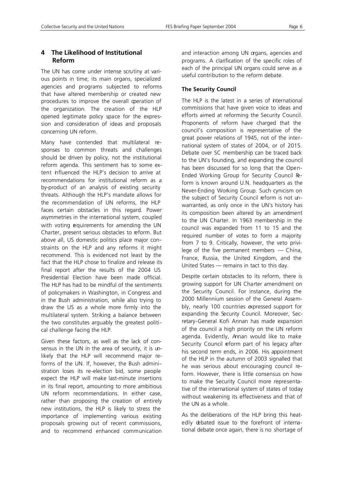# **4 The Likelihood of Institutional Reform**

The UN has come under intense scrutiny at various points in time; its main organs, specialized agencies and programs subjected to reforms that have altered membership or created new procedures to improve the overall operation of the organization. The creation of the HLP opened legitimate policy space for the expression and consideration of ideas and proposals concerning UN reform.

Many have contended that multilateral responses to common threats and challenges should be driven by policy, not the institutional reform agenda. This sentiment has to some extent influenced the HLP's decision to arrive at recommendations for institutional reform as a by-product of an analysis of existing security threats. Although the HLP's mandate allows for the recommendation of UN reforms, the HLP faces certain obstacles in this regard. Power asymmetries in the international system, coupled with voting requirements for amending the UN Charter, present serious obstacles to reform. But above all, US domestic politics place major constraints on the HLP and any reforms it might recommend. This is evidenced not least by the fact that the HLP chose to finalize and release its final report after the results of the 2004 US Presidential Election have been made official. The HLP has had to be mindful of the sentiments of policymakers in Washington, in Congress and in the Bush administration, while also trying to draw the US as a whole more firmly into the multilateral system. Striking a balance between the two constitutes arguably the greatest political challenge facing the HLP.

Given these factors, as well as the lack of consensus in the UN in the area of security, it is unlikely that the HLP will recommend major reforms of the UN. If, however, the Bush administration loses its re-election bid, some people expect the HLP will make last-minute insertions in its final report, amounting to more ambitious UN reform recommendations. In either case, rather than proposing the creation of entirely new institutions, the HLP is likely to stress the importance of implementing various existing proposals growing out of recent commissions, and to recommend enhanced communication and interaction among UN organs, agencies and programs. A clarification of the specific roles of each of the principal UN organs could serve as a useful contribution to the reform debate.

## **The Security Council**

The HLP is the latest in a series of international commissions that have given voice to ideas and efforts aimed at reforming the Security Council. Proponents of reform have charged that the council's composition is representative of the great power relations of 1945, not of the international system of states of 2004, or of 2015. Debate over SC membership can be traced back to the UN's founding, and expanding the council has been discussed for so long that the Open-Ended Working Group for Security Council Reform is known around U.N. headquarters as the Never-Ending Working Group. Such cynicism on the subject of Security Council reform is not unwarranted, as only once in the UN's history has its composition been altered by an amendment to the UN Charter. In 1963 membership in the council was expanded from 11 to 15 and the required number of votes to form a majority from 7 to 9. Critically, however, the veto privilege of the five permanent members — China, France, Russia, the United Kingdom, and the United States — remains in tact to this day.

Despite certain obstacles to its reform, there is growing support for UN Charter amendment on the Security Council. For instance, during the 2000 Millennium session of the General Assembly, nearly 100 countries expressed support for expanding the Security Council. Moreover, Secretary-General Kofi Annan has made expansion of the council a high priority on the UN reform agenda. Evidently, Annan would like to make Security Council reform part of his legacy after his second term ends, in 2006. His appointment of the HLP in the autumn of 2003 signalled that he was serious about encouraging council reform. However, there is little consensus on how to make the Security Council more representative of the international system of states of today without weakening its effectiveness and that of the UN as a whole.

As the deliberations of the HLP bring this heatedly debated issue to the forefront of international debate once again, there is no shortage of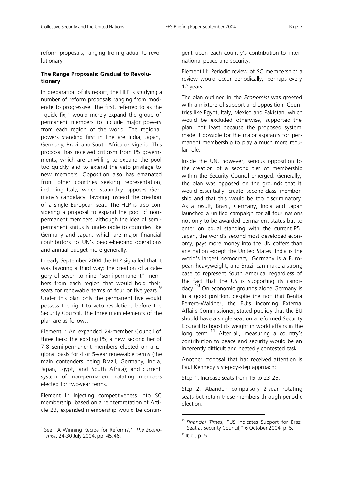reform proposals, ranging from gradual to revolutionary.

#### **The Range Proposals: Gradual to Revolutionary**

In preparation of its report, the HLP is studying a number of reform proposals ranging from moderate to progressive. The first, referred to as the "quick fix," would merely expand the group of permanent members to include major powers from each region of the world. The regional powers standing first in line are India, Japan, Germany, Brazil and South Africa or Nigeria. This proposal has received criticism from P5 governments, which are unwilling to expand the pool too quickly and to extend the veto privilege to new members. Opposition also has emanated from other countries seeking representation, including Italy, which staunchly opposes Germany's candidacy, favoring instead the creation of a single European seat. The HLP is also considering a proposal to expand the pool of nonpermanent members, although the idea of semipermanent status is undesirable to countries like Germany and Japan, which are major financial contributors to UN's peace-keeping operations and annual budget more generally.

In early September 2004 the HLP signalled that it was favoring a third way: the creation of a category of seven to nine "semi-permanent" members from each region that would hold their seats for renewable terms of four or five years. Under this plan only the permanent five would possess the right to veto resolutions before the Security Council. The three main elements of the plan are as follows.

Element I: An expanded 24-member Council of three tiers: the existing P5; a new second tier of 7-8 semi-permanent members elected on a regional basis for 4 or 5-year renewable terms (the main contenders being Brazil, Germany, India, Japan, Egypt, and South Africa); and current system of non-permanent rotating members elected for two-year terms.

Element II: Injecting competitiveness into SC membership: based on a reinterpretation of Article 23, expanded membership would be contin-

l

gent upon each country's contribution to international peace and security.

Element III: Periodic review of SC membership: a review would occur periodically, perhaps every 12 years.

The plan outlined in the *Economist* was greeted with a mixture of support and opposition. Countries like Egypt, Italy, Mexico and Pakistan, which would be excluded otherwise, supported the plan, not least because the proposed system made it possible for the major aspirants for permanent membership to play a much more regular role.

Inside the UN, however, serious opposition to the creation of a second tier of membership within the Security Council emerged. Generally, the plan was opposed on the grounds that it would essentially create second-class membership and that this would be too discriminatory. As a result, Brazil, Germany, India and Japan launched a unified campaign for all four nations not only to be awarded permanent status but to enter on equal standing with the current P5. Japan, the world's second most developed economy, pays more money into the UN coffers than any nation except the United States. India is the world's largest democracy. Germany is a European heavyweight, and Brazil can make a strong case to represent South America, regardless of the fact that the US is supporting its candidacy.10 On economic grounds alone Germany is in a good position, despite the fact that Benita Ferrero-Waldner, the EU's incoming External Affairs Commissioner, stated publicly that the EU should have a single seat on a reformed Security Council to boost its weight in world affairs in the long term.<sup>11</sup> After all, measuring a country's contribution to peace and security would be an inherently difficult and heatedly contested task.

Another proposal that has received attention is Paul Kennedy's step-by-step approach:

Step 1: Increase seats from 15 to 23-25;

Step 2: Abandon compulsory 2-year rotating seats but retain these members through periodic election;

l

<sup>9</sup> See "A Winning Recipe for Reform?," *The Economist*, 24-30 July 2004, pp. 45.46.

<sup>10</sup> *Financial Times*, "US Indicates Support for Brazil Seat at Security Council," 6 October 2004, p. 5.

 $11$  Ibid., p. 5.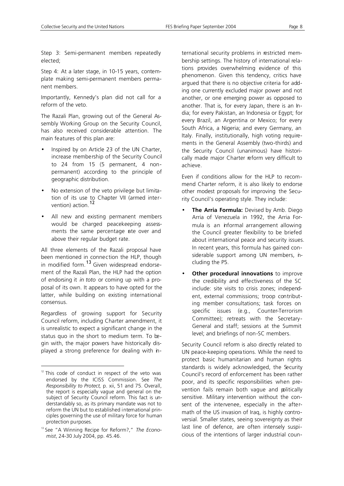Step 3: Semi-permanent members repeatedly elected;

Step 4: At a later stage, in 10-15 years, contemplate making semi-permanent members permanent members.

Importantly, Kennedy's plan did not call for a reform of the veto.

The Razali Plan, growing out of the General Assembly Working Group on the Security Council, has also received considerable attention. The main features of this plan are:

- Inspired by on Article 23 of the UN Charter, increase membership of the Security Council to 24 from 15 (5 permanent, 4 nonpermanent) according to the principle of geographic distribution.
- No extension of the veto privilege but limitation of its use to Chapter VII (armed intervention) action.<sup>12</sup>
- All new and existing permanent members would be charged peacekeeping assessments the same percentage ate over and above their regular budget rate.

All three elements of the Razali proposal have been mentioned in connection the HLP, though in modified form.<sup>13</sup> Given widespread endorsement of the Razali Plan, the HLP had the option of endorsing it *in toto* or coming up with a proposal of its own. It appears to have opted for the latter, while building on existing international consensus.

Regardless of growing support for Security Council reform, including Charter amendment, it is unrealistic to expect a significant change in the status quo in the short to medium term. To begin with, the major powers have historically displayed a strong preference for dealing with in-

l

ternational security problems in restricted membership settings. The history of international relations provides overwhelming evidence of this phenomenon. Given this tendency, critics have argued that there is no objective criteria for adding one currently excluded major power and not another, or one emerging power as opposed to another. That is, for every Japan, there is an India; for every Pakistan, an Indonesia or Egypt; for every Brazil, an Argentina or Mexico; for every South Africa, a Nigeria; and every Germany, an Italy. Finally, institutionally, high voting requirements in the General Assembly (two-thirds) and the Security Council (unanimous) have historically made major Charter reform very difficult to achieve.

Even if conditions allow for the HLP to recommend Charter reform, it is also likely to endorse other modest proposals for improving the Security Council's operating style. They include:

- **The Arria Formula:** Devised by Amb. Diego Arria of Venezuela in 1992, the Arria Formula is an informal arrangement allowing the Council greater flexibility to be briefed about international peace and security issues. In recent years, this formula has gained considerable support among UN members, including the P5.
- **Other procedural innovations** to improve the credibility and effectiveness of the SC include: site visits to crisis zones; independent, external commissions; troop contributing member consultations; task forces on specific issues (e.g., Counter-Terrorism Committee); retreats with the Secretary-General and staff; sessions at the Summit level; and briefings of non-SC members.

Security Council reform is also directly related to UN peace-keeping operations. While the need to protect basic humanitarian and human rights standards is widely acknowledged, the Security Council's record of enforcement has been rather poor, and its specific responsibilities when prevention fails remain both vague and politically sensitive. Military intervention without the consent of the intervenee, especially in the aftermath of the US invasion of Iraq, is highly controversial. Smaller states, seeing sovereignty as their last line of defence, are often intensely suspicious of the intentions of larger industrial coun-

 $12$  This code of conduct in respect of the veto was endorsed by the ICISS Commission. See *The Responsibility to Protect,* p. xii, 51 and 75. Overall, the report is especially vague and general on the subject of Security Council reform. This fact is understandably so, as its primary mandate was not to reform the UN but to established international principles governing the use of military force for human protection purposes.

<sup>13</sup> See "A Winning Recipe for Reform?," *The Economist*, 24-30 July 2004, pp. 45.46.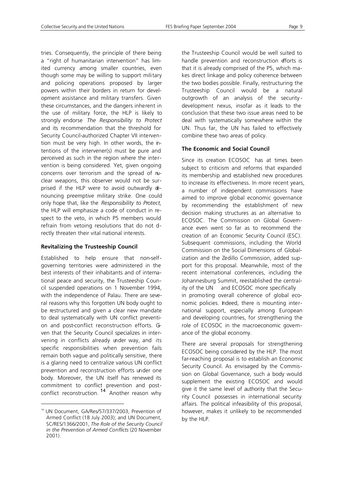tries. Consequently, the principle of there being a "right of humanitarian intervention" has limited currency among smaller countries, even though some may be willing to support military and policing operations proposed by larger powers within their borders in return for development assistance and military transfers. Given these circumstances, and the dangers inherent in the use of military force, the HLP is likely to strongly endorse *The Responsibility to Protect* and its recommendation that the threshold for Security Council-authorized Chapter VII intervention must be very high. In other words, the intentions of the intervener(s) must be pure and perceived as such in the region where the intervention is being considered. Yet, given ongoing concerns over terrorism and the spread of nuclear weapons, this observer would not be surprised if the HLP were to avoid outwardly denouncing preemptive military strike. One could only hope that, like the *Responsibility to Protect*, the HLP will emphasize a code of conduct in respect to the veto, in which P5 members would refrain from vetoing resolutions that do not drectly threaten their vital national interests.

#### **Revitalizing the Trusteeship Council**

Established to help ensure that non-selfgoverning territories were administered in the best interests of their inhabitants and of international peace and security, the Trusteeship Council suspended operations on 1 November 1994, with the independence of Palau. There are several reasons why this forgotten UN body ought to be restructured and given a clear new mandate to deal systematically with UN conflict prevention and post-conflict reconstruction efforts. Gven that the Security Council specializes in intervening in conflicts already under way, and its specific responsibilities when prevention fails remain both vague and politically sensitive, there is a glaring need to centralize various UN conflict prevention and reconstruction efforts under one body. Moreover, the UN itself has renewed its commitment to conflict prevention and postconflict reconstruction. <sup>14</sup> Another reason why

l

the Trusteeship Council would be well suited to handle prevention and reconstruction efforts is that it is already comprised of the P5, which makes direct linkage and policy coherence between the two bodies possible. Finally, restructuring the Trusteeship Council would be a natural outgrowth of an analysis of the security development nexus, insofar as it leads to the conclusion that these two issue areas need to be deal with systematically somewhere within the UN. Thus far, the UN has failed to effectively combine these two areas of policy.

#### **The Economic and Social Council**

Since its creation ECOSOC has at times been subject to criticism and reforms that expanded its membership and established new procedures to increase its effectiveness. In more recent years, a number of independent commissions have aimed to improve global economic governance by recommending the establishment of new decision making structures as an alternative to ECOSOC. The Commission on Global Governance even went so far as to recommend the creation of an Economic Security Council (ESC). Subsequent commissions, including the World Commission on the Social Dimensions of Globalization and the Zedillo Commission, added support for this proposal. Meanwhile, most of the recent international conferences, including the Johannesburg Summit, reestablished the centrality of the UN and ECOSOC more specifically in promoting overall coherence of global economic policies. Indeed, there is mounting international support, especially among European and developing countries, for strengthening the role of ECOSOC in the macroeconomic governance of the global economy.

There are several proposals for strengthening ECOSOC being considered by the HLP. The most far-reaching proposal is to establish an Economic Security Council. As envisaged by the Commission on Global Governance, such a body would supplement the existing ECOSOC and would give it the same level of authority that the Security Council possesses in international security affairs. The political infeasibility of this proposal, however, makes it unlikely to be recommended by the HLP.

<sup>&</sup>lt;sup>14</sup> UN Document, GA/Res/57/337/2003, Prevention of Armed Conflict (18 July 2003); and UN Document, SC/RES/1366/2001, *The Role of the Security Council in the Prevention of Armed Conflicts* (20 November 2001).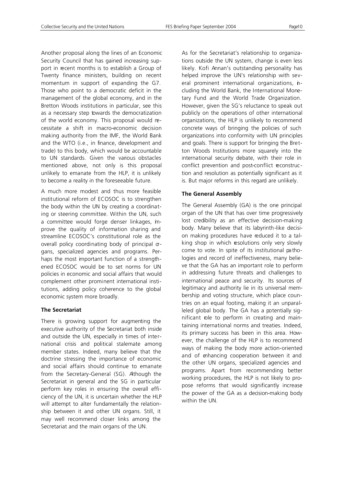Another proposal along the lines of an Economic Security Council that has gained increasing support in recent months is to establish a Group of Twenty finance ministers, building on recent momentum in support of expanding the G7. Those who point to a democratic deficit in the management of the global economy, and in the Bretton Woods institutions in particular, see this as a necessary step towards the democratization of the world economy. This proposal would necessitate a shift in macro-economic decision making authority from the IMF, the World Bank and the WTO (i.e., in finance, development and trade) to this body, which would be accountable to UN standards. Given the various obstacles mentioned above, not only is this proposal unlikely to emanate from the HLP, it is unlikely to become a reality in the foreseeable future.

A much more modest and thus more feasible institutional reform of ECOSOC is to strengthen the body within the UN by creating a coordinating or steering committee. Within the UN, such a committee would forge denser linkages, inprove the quality of information sharing and streamline ECOSOC's constitutional role as the overall policy coordinating body of principal organs, specialized agencies and programs. Perhaps the most important function of a strengthened ECOSOC would be to set norms for UN policies in economic and social affairs that would complement other prominent international institutions, adding policy coherence to the global economic system more broadly.

#### **The Secretariat**

There is growing support for augmenting the executive authority of the Secretariat both inside and outside the UN, especially in times of international crisis and political stalemate among member states. Indeed, many believe that the doctrine stressing the importance of economic and social affairs should continue to emanate from the Secretary-General (SG). Although the Secretariat in general and the SG in particular perform key roles in ensuring the overall efficiency of the UN, it is uncertain whether the HLP will attempt to alter fundamentally the relationship between it and other UN organs. Still, it may well recommend closer links among the Secretariat and the main organs of the UN.

As for the Secretariat's relationship to organizations outside the UN system, change is even less likely. Kofi Annan's outstanding personality has helped improve the UN's relationship with several prominent international organizations, ncluding the World Bank, the International Monetary Fund and the World Trade Organization. However, given the SG's reluctance to speak out publicly on the operations of other international organizations, the HLP is unlikely to recommend concrete ways of bringing the policies of such organizations into conformity with UN principles and goals. There is support for bringing the Bretton Woods Institutions more squarely into the international security debate, with their role in conflict prevention and post-conflict reconstruction and resolution as potentially significant as it is. But major reforms in this regard are unlikely.

#### **The General Assembly**

The General Assembly (GA) is the one principal organ of the UN that has over time progressively lost credibility as an effective decision-making body. Many believe that its labyrinth-like decision making procedures have reduced it to a talking shop in which resolutions only very slowly come to vote. In spite of its institutional pathologies and record of ineffectiveness, many believe that the GA has an important role to perform in addressing future threats and challenges to international peace and security. Its sources of legitimacy and authority lie in its universal membership and voting structure, which place countries on an equal footing, making it an unparalleled global body. The GA has a potentially significant role to perform in creating and maintaining international norms and treaties. Indeed, its primary success has been in this area. However, the challenge of the HLP is to recommend ways of making the body more action-oriented and of enhancing cooperation between it and the other UN organs, specialized agencies and programs. Apart from recommending better working procedures, the HLP is not likely to propose reforms that would significantly increase the power of the GA as a decision-making body within the UN.